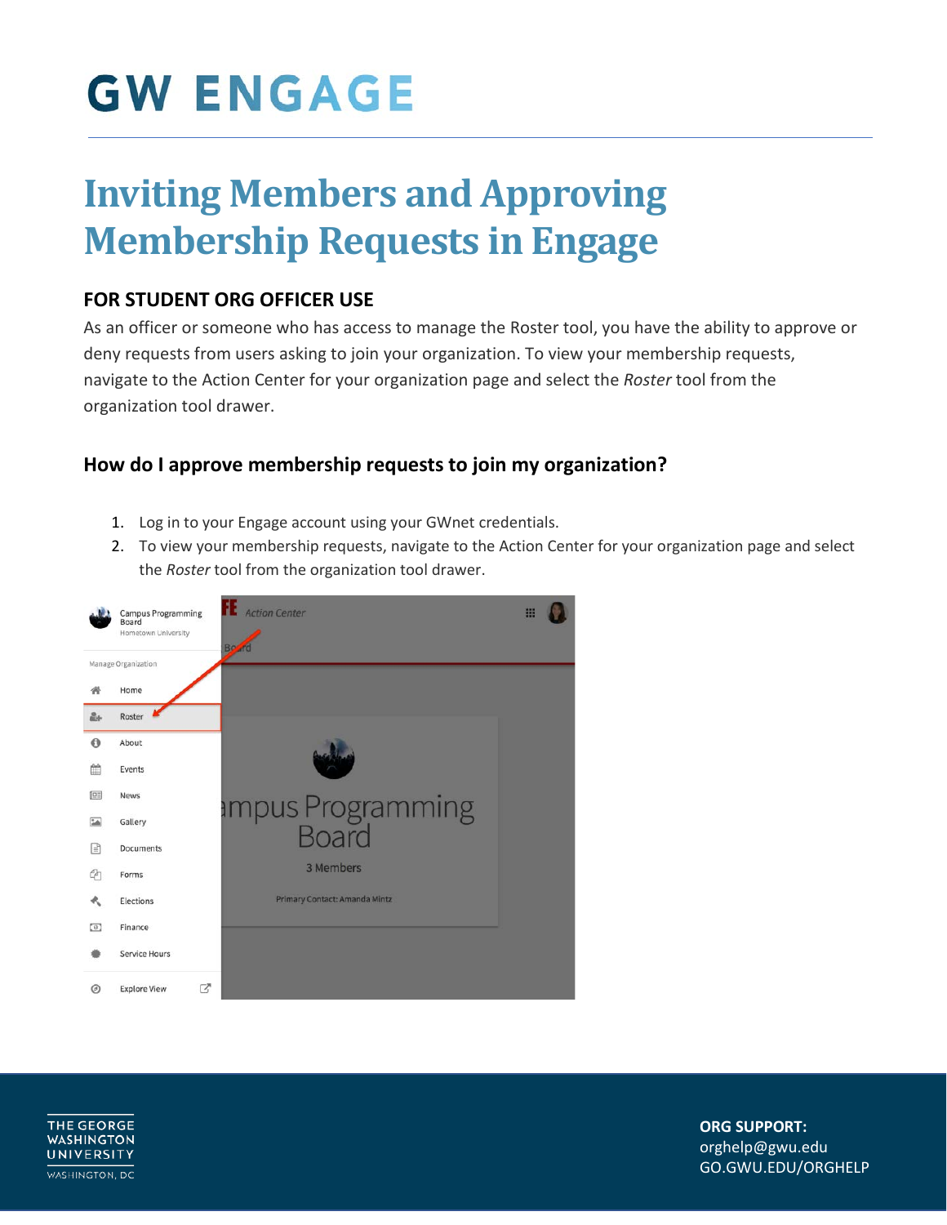### **Inviting Members and Approving Membership Requests in Engage**

#### **FOR STUDENT ORG OFFICER USE**

As an officer or someone who has access to manage the Roster tool, you have the ability to approve or deny requests from users asking to join your organization. To view your membership requests, navigate to the Action Center for your organization page and select the *Roster* tool from the organization tool drawer.

#### **How do I approve membership requests to join my organization?**

- 1. Log in to your Engage account using your GWnet credentials.
- 2. To view your membership requests, navigate to the Action Center for your organization page and select the *Roster* tool from the organization tool drawer.



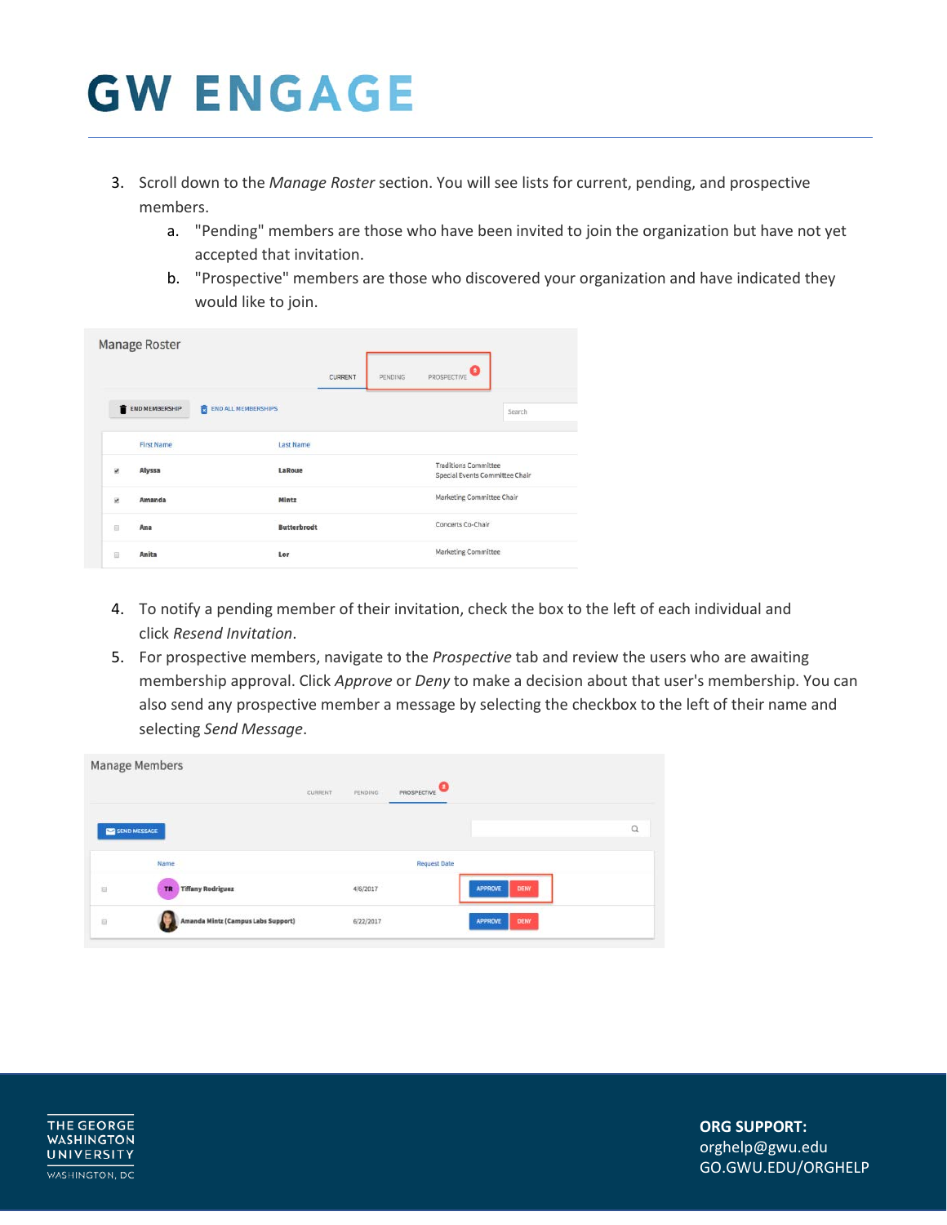- 3. Scroll down to the *Manage Roster* section. You will see lists for current, pending, and prospective members.
	- a. "Pending" members are those who have been invited to join the organization but have not yet accepted that invitation.
	- b. "Prospective" members are those who discovered your organization and have indicated they would like to join.

|                  | Manage Roster     |                                 |                |         |                                                               |        |
|------------------|-------------------|---------------------------------|----------------|---------|---------------------------------------------------------------|--------|
|                  |                   |                                 | <b>CURRENT</b> | PENDING | Θ<br>PROSPECTIVE                                              |        |
|                  | END MEMBERSHIP    | 龠<br><b>END ALL MEMBERSHIPS</b> |                |         |                                                               | Search |
|                  | <b>First Name</b> | <b>Last Name</b>                |                |         |                                                               |        |
| R.               | Alyssa            | LaRoue                          |                |         | <b>Traditions Committee</b><br>Special Events Committee Chair |        |
| ø                | Amanda            | Mintz                           |                |         | Marketing Committee Chair                                     |        |
| $\overline{111}$ | Ana               | <b>Butterbrodt</b>              |                |         | Concerts Co-Chair                                             |        |
| D                | Anita             | Lor                             |                |         | Marketing Committee                                           |        |

- 4. To notify a pending member of their invitation, check the box to the left of each individual and click *Resend Invitation*.
- 5. For prospective members, navigate to the *Prospective* tab and review the users who are awaiting membership approval. Click *Approve* or *Deny* to make a decision about that user's membership. You can also send any prospective member a message by selecting the checkbox to the left of their name and selecting *Send Message*.

|              | Manage Members                        |                          |                                            |                     |                               |   |
|--------------|---------------------------------------|--------------------------|--------------------------------------------|---------------------|-------------------------------|---|
|              |                                       | CURRENT<br><b>WARREN</b> | PENDING                                    | <b>PROSPECTIVE</b>  |                               |   |
| SEND MESSAGE |                                       |                          |                                            |                     |                               | Q |
|              | Name                                  |                          |                                            | <b>Request Date</b> |                               |   |
| a            | <b>Tiffany Rodriguez</b><br><b>TR</b> |                          | 4/6/2017                                   |                     | DENY<br><b>APPROVE</b>        |   |
| z.<br>ii     | Amanda Mintz (Campus Labs Support)    |                          | <b><i><u>REMERRED</u></i></b><br>6/22/2017 |                     | <b>DENY</b><br><b>APPROVE</b> |   |

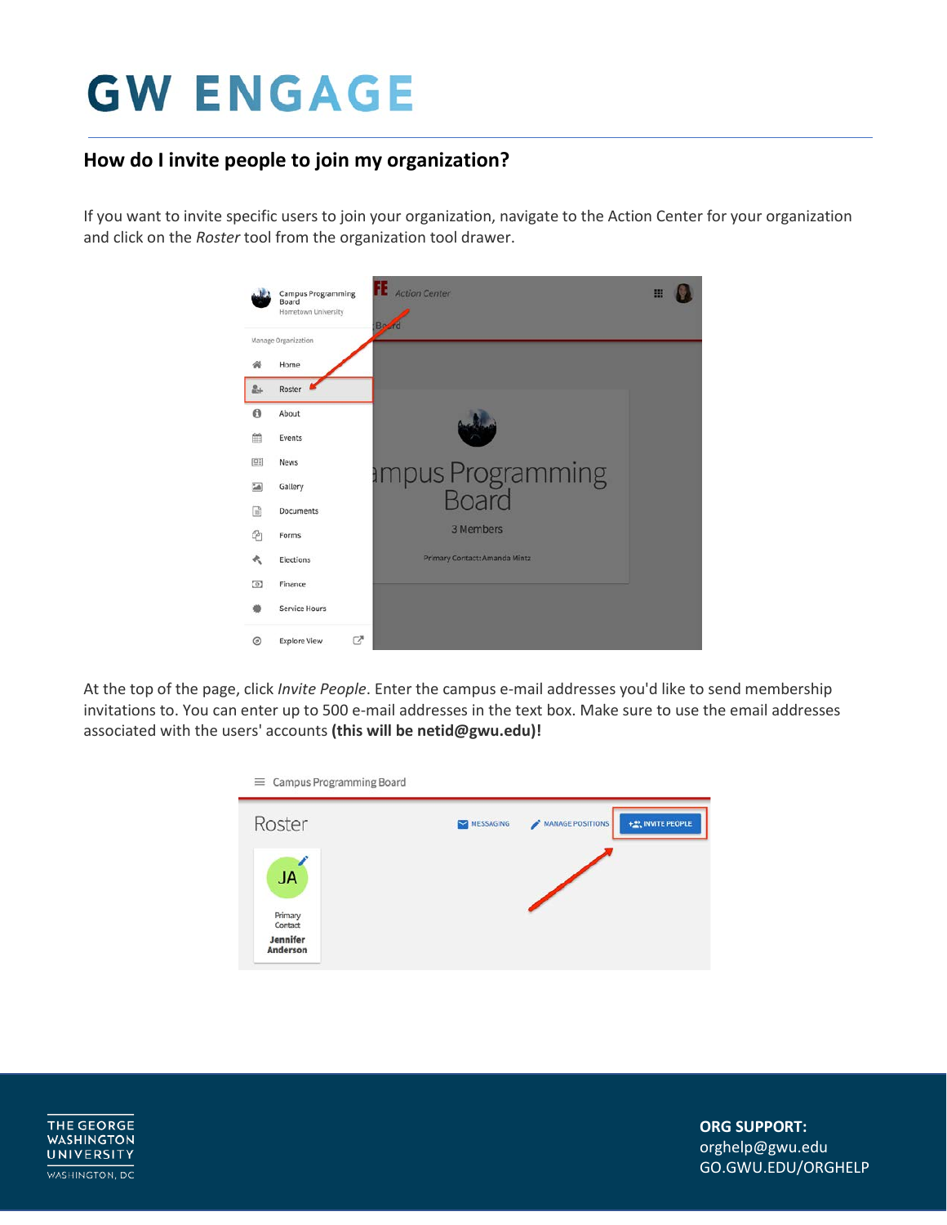### **How do I invite people to join my organization?**

If you want to invite specific users to join your organization, navigate to the Action Center for your organization and click on the *Roster* tool from the organization tool drawer.



At the top of the page, click *Invite People*. Enter the campus e-mail addresses you'd like to send membership invitations to. You can enter up to 500 e-mail addresses in the text box. Make sure to use the email addresses associated with the users' accounts **(this will be netid@gwu.edu)!**